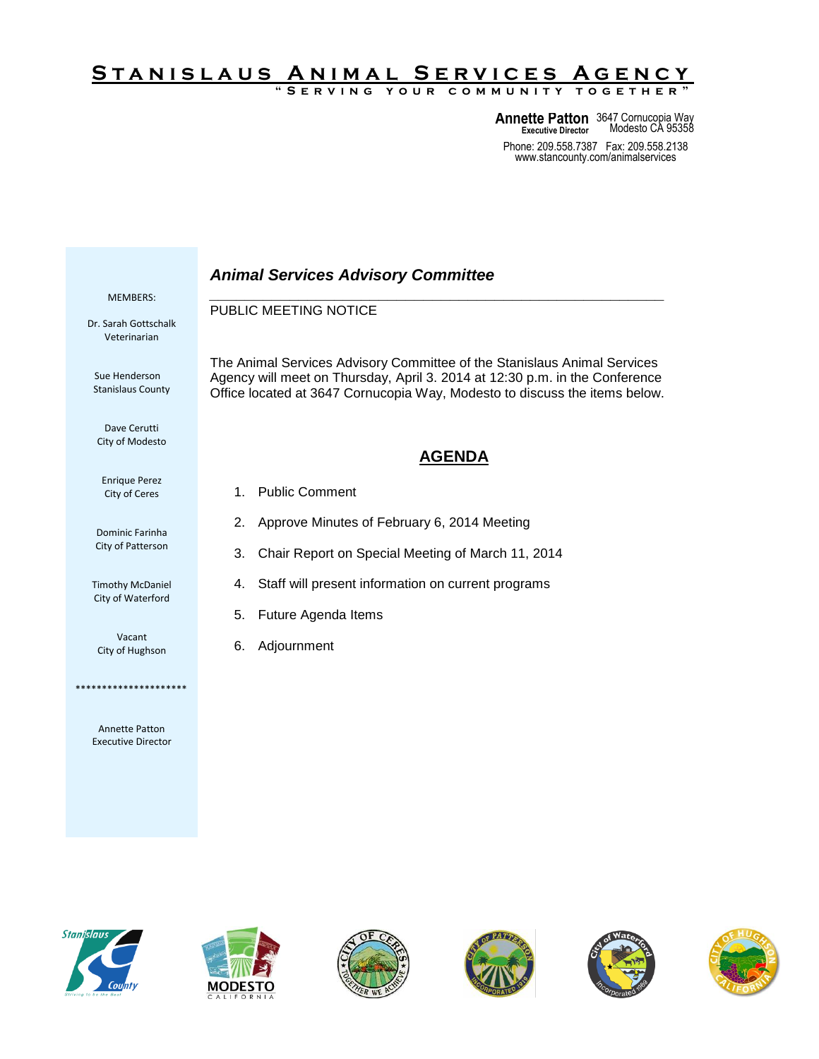## S TAN I SLAUS AN I MAL SERVICES AGENCY

**" S e r v i n g y o u r c o m m u n i t y t o g e t h e r "**

**Annette Patton** 3647 Cornucopia Way **Executive Director** Modesto CA 95358

Phone: 209.558.7387 Fax: 209.558.2138 www.stancounty.com/animalservices

## *Animal Services Advisory Committee \_\_\_\_\_\_\_\_\_\_\_\_\_\_\_\_\_\_\_\_\_\_\_\_\_\_\_\_\_\_\_\_\_\_\_\_\_\_\_\_\_\_\_\_\_\_\_\_\_\_\_* PUBLIC MEETING NOTICE The Animal Services Advisory Committee of the Stanislaus Animal Services Agency will meet on Thursday, April 3. 2014 at 12:30 p.m. in the Conference Office located at 3647 Cornucopia Way, Modesto to discuss the items below. **AGENDA** 1. Public Comment 2. Approve Minutes of February 6, 2014 Meeting 3. Chair Report on Special Meeting of March 11, 2014 4. Staff will present information on current programs 5. Future Agenda Items 6. Adjournment MEMBERS: Dr. Sarah Gottschalk Veterinarian Sue Henderson Stanislaus County Dave Cerutti City of Modesto Enrique Perez City of Ceres Dominic Farinha City of Patterson Timothy McDaniel City of Waterford Vacant City of Hughson \*\*\*\*\*\*\*\*\*\*\*\*\*\*\*\*\*\*\*\*\*



Annette Patton Executive Director